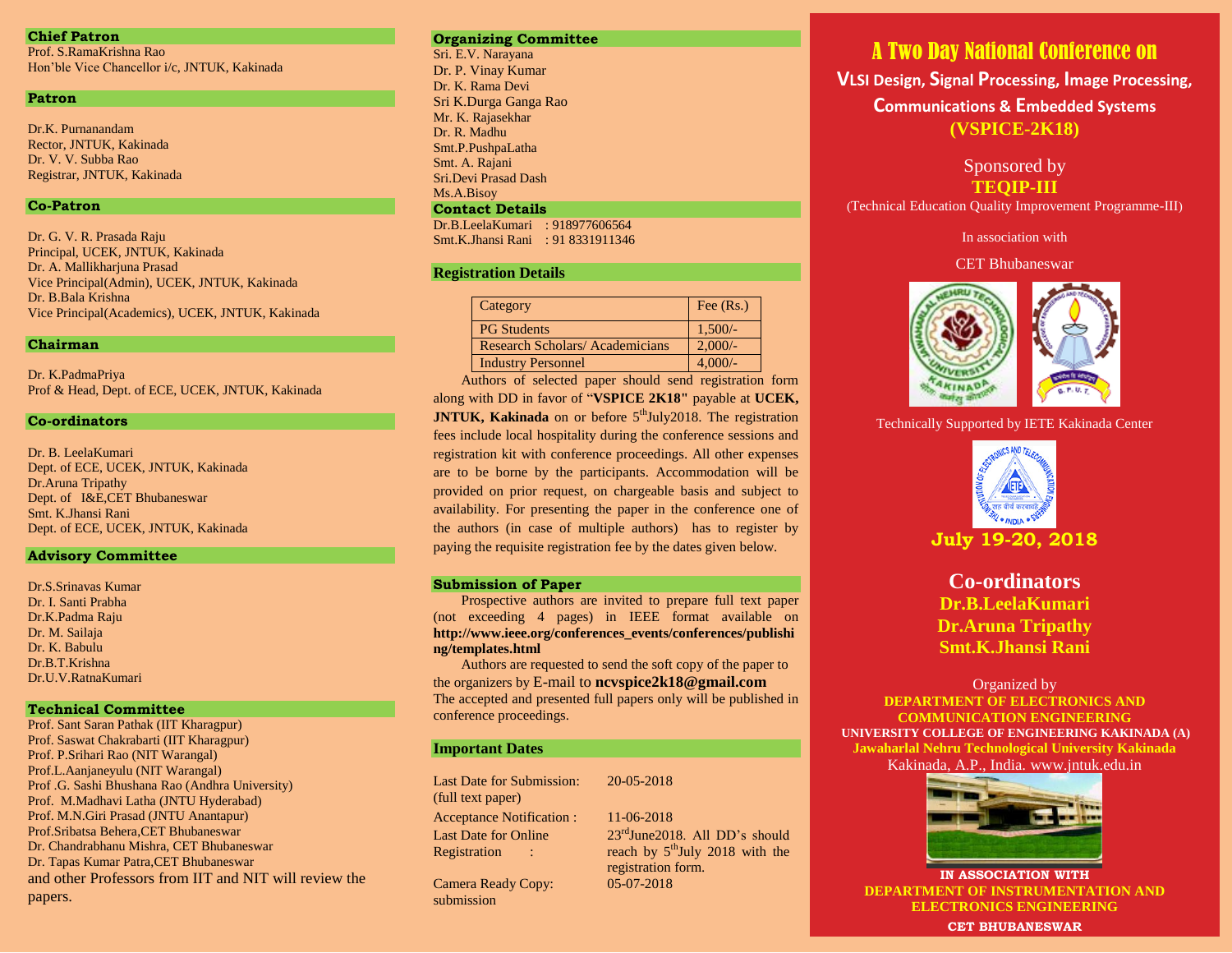### **Chief Patron**

Prof. S.RamaKrishna Rao Hon'ble Vice Chancellor i/c, JNTUK, Kakinada

### **Patron**

Dr.K. Purnanandam Rector, JNTUK, Kakinada Dr. V. V. Subba Rao Registrar, JNTUK, Kakinada

### **Co-Patron**

Dr. G. V. R. Prasada Raju Principal, UCEK, JNTUK, Kakinada Dr. A. Mallikharjuna Prasad Vice Principal(Admin), UCEK, JNTUK, Kakinada Dr. B.Bala Krishna Vice Principal(Academics), UCEK, JNTUK, Kakinada

### **Chairman**

Dr. K.PadmaPriya Prof & Head, Dept. of ECE, UCEK, JNTUK, Kakinada

### **Co-ordinators**

Dr. B. LeelaKumari Dept. of ECE, UCEK, JNTUK, Kakinada Dr.Aruna Tripathy Dept. of I&E,CET Bhubaneswar Smt. K.Jhansi Rani Dept. of ECE, UCEK, JNTUK, Kakinada

### **Advisory Committee**

Dr.S.Srinavas Kumar Dr. I. Santi Prabha Dr.K.Padma Raju Dr. M. Sailaja Dr. K. Babulu Dr.B.T.Krishna Dr.U.V.RatnaKumari

### **Technical Committee**

Prof. Sant Saran Pathak (IIT Kharagpur) Prof. Saswat Chakrabarti (IIT Kharagpur) Prof. P.Srihari Rao (NIT Warangal) Prof.L.Aanjaneyulu (NIT Warangal) Prof .G. Sashi Bhushana Rao (Andhra University) Prof. M.Madhavi Latha (JNTU Hyderabad) Prof. M.N.Giri Prasad (JNTU Anantapur) Prof.Sribatsa Behera,CET Bhubaneswar Dr. Chandrabhanu Mishra, CET Bhubaneswar Dr. Tapas Kumar Patra,CET Bhubaneswar and other Professors from IIT and NIT will review the papers.

### **Organizing Committee**

Sri. E.V. Narayana Dr. P. Vinay Kumar Dr. K. Rama Devi Sri K.Durga Ganga Rao Mr. K. Rajasekhar Dr. R. Madhu Smt.P.PushpaLatha Smt. A. Rajani Sri.Devi Prasad Dash Ms.A.Bisoy

### **Contact Details**

Dr.B.LeelaKumari : 918977606564 Smt.K.Jhansi Rani : 91 8331911346

### **Registration Details**

| Category                              | Fee $(Rs.)$ |
|---------------------------------------|-------------|
| <b>PG</b> Students                    | $1,500/-$   |
| <b>Research Scholars/Academicians</b> | $2,000/$ -  |
| <b>Industry Personnel</b>             | $4,000/-$   |

Authors of selected paper should send registration form along with DD in favor of "**VSPICE 2K18"** payable at **UCEK, JNTUK, Kakinada** on or before 5<sup>th</sup>July2018. The registration fees include local hospitality during the conference sessions and registration kit with conference proceedings. All other expenses are to be borne by the participants. Accommodation will be provided on prior request, on chargeable basis and subject to availability. For presenting the paper in the conference one of the authors (in case of multiple authors) has to register by paying the requisite registration fee by the dates given below.

### **Submission of Paper**

Prospective authors are invited to prepare full text paper (not exceeding 4 pages) in IEEE format available on **http://www.ieee.org/conferences\_events/conferences/publishi ng/templates.html**

Authors are requested to send the soft copy of the paper to the organizers by E-mail to **ncvspice2k18@gmail.com** The accepted and presented full papers only will be published in conference proceedings.

20-05-2018

### **Important Dates**

Last Date for Submission: (full text paper) Acceptance Notification : 11-06-2018 Last Date for Online Registration :

Camera Ready Copy: submission

23rdJune2018. All DD's should reach by  $5<sup>th</sup>$ July 2018 with the registration form. 05-07-2018

# A Two Day National Conference on

**VLSI Design, Signal Processing, Image Processing, Communications & Embedded Systems (VSPICE-2K18)**

## Sponsored by **TEQIP-III**

(Technical Education Quality Improvement Programme-III)

In association with

CET Bhubaneswar



Technically Supported by IETE Kakinada Center



**July 19-20, 2018**

**Co-ordinators Dr.B.LeelaKumari Dr.Aruna Tripathy Smt.K.Jhansi Rani**

### Organized by **DEPARTMENT OF ELECTRONICS AND COMMUNICATION ENGINEERING UNIVERSITY COLLEGE OF ENGINEERING KAKINADA (A) Jawaharlal Nehru Technological University Kakinada**

Kakinada, A.P., India. [www.jntuk.edu.in](http://www.jntuk.edu.in/)



**IN ASSOCIATION WITH DEPARTMENT OF INSTRUMENTATION AND ELECTRONICS ENGINEERING**

**CET BHUBANESWAR**